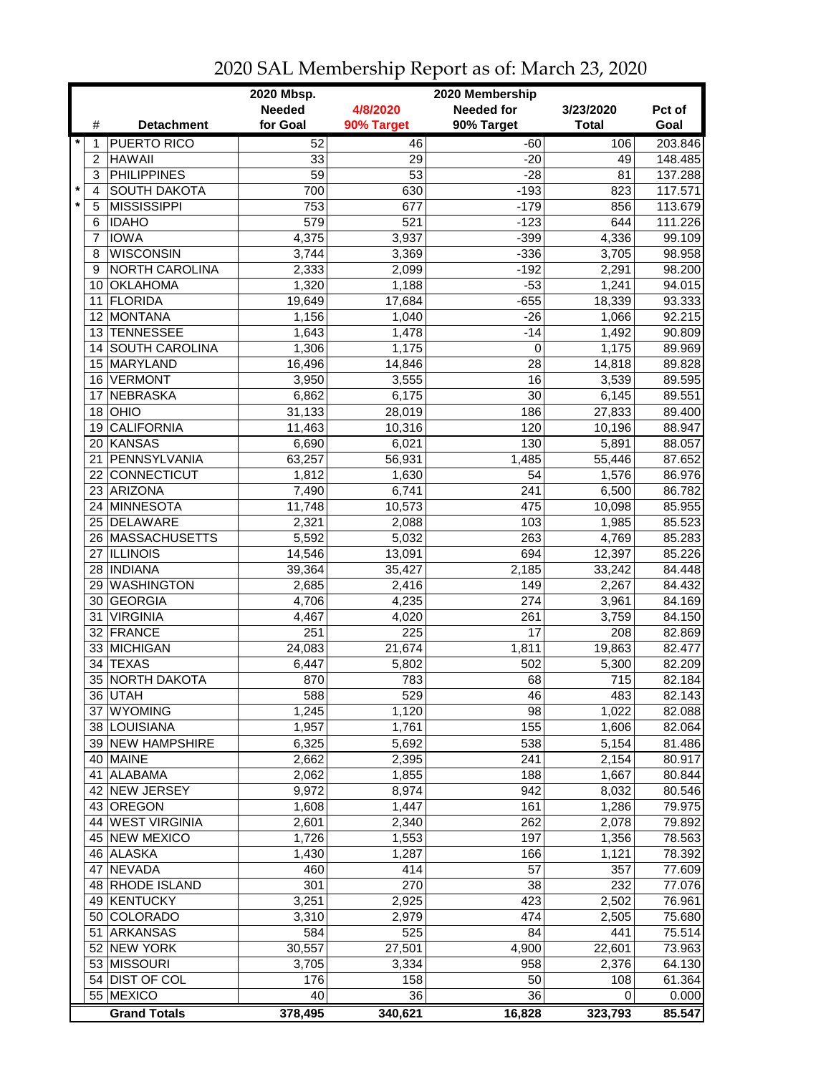|         |                |                           | 2020 Mbsp.      |                  | 2020 Membership       |              |                  |
|---------|----------------|---------------------------|-----------------|------------------|-----------------------|--------------|------------------|
|         |                |                           | <b>Needed</b>   | 4/8/2020         | <b>Needed for</b>     | 3/23/2020    | Pct of           |
|         | #              | <b>Detachment</b>         | for Goal        | 90% Target       | 90% Target            | <b>Total</b> | Goal             |
| $\star$ | 1              | <b>PUERTO RICO</b>        | 52              | 46               | $-60$                 | 106          | 203.846          |
|         | $\overline{c}$ | <b>HAWAII</b>             | 33              | 29               | $-20$                 | 49           | 148.485          |
|         | 3              | <b>PHILIPPINES</b>        | $\overline{59}$ | $\overline{53}$  | $-28$                 | 81           | 137.288          |
| $\star$ | 4              | <b>SOUTH DAKOTA</b>       | 700             | 630              | $-193$                | 823          | 117.571          |
|         | 5              | <b>MISSISSIPPI</b>        | 753             | 677              | $-179$                | 856          | 113.679          |
|         | 6              | <b>IDAHO</b>              | 579             | $\overline{521}$ | $-123$                | 644          | 111.226          |
|         | 7              | <b>IOWA</b>               | 4,375           | 3,937            | $-399$                | 4,336        | 99.109           |
|         | 8              | <b>WISCONSIN</b>          | 3,744           | 3,369            | $-336$                | 3,705        | 98.958           |
|         | 9              | NORTH CAROLINA            | 2,333           | 2,099            | $-192$                | 2,291        | 98.200           |
|         | 10             | <b>OKLAHOMA</b>           | 1,320           | 1,188            | $-53$                 | 1,241        | 94.015           |
|         | 11             | <b>FLORIDA</b>            | 19,649          | 17,684           | $-655$                | 18,339       | 93.333           |
|         | 12             | <b>MONTANA</b>            | 1,156           | 1,040            | $-26$                 | 1,066        | 92.215           |
|         | 13             | <b>TENNESSEE</b>          | 1,643           | 1,478            | $-14$                 | 1,492        | 90.809           |
|         |                | 14 SOUTH CAROLINA         | 1,306           | 1,175            | 0                     | 1,175        | 89.969           |
|         |                | 15 MARYLAND               |                 | 14,846           | 28                    | 14,818       | 89.828           |
|         |                | <b>VERMONT</b>            | 16,496          |                  |                       |              |                  |
|         | 16             | <b>NEBRASKA</b>           | 3,950           | 3,555            | 16<br>$\overline{30}$ | 3,539        | 89.595           |
|         | 17<br>18       | OHIO                      | 6,862           | 6,175            | 186                   | 6,145        | 89.551<br>89.400 |
|         |                |                           | 31,133          | 28,019           |                       | 27,833       |                  |
|         | 19             | <b>CALIFORNIA</b>         | 11,463          | 10,316           | 120                   | 10,196       | 88.947           |
|         |                | 20 KANSAS<br>PENNSYLVANIA | 6,690           | 6,021            | 130                   | 5,891        | 88.057           |
|         | 21             |                           | 63,257          | 56,931           | 1,485                 | 55,446       | 87.652           |
|         |                | 22 CONNECTICUT            | 1,812           | 1,630            | 54                    | 1,576        | 86.976           |
|         |                | 23 ARIZONA                | 7,490           | 6,741            | 241                   | 6,500        | 86.782           |
|         |                | 24 MINNESOTA              | 11,748          | 10,573           | 475                   | 10,098       | 85.955           |
|         |                | 25 DELAWARE               | 2,321           | 2,088            | 103                   | 1,985        | 85.523           |
|         |                | 26 MASSACHUSETTS          | 5,592           | 5,032            | 263                   | 4,769        | 85.283           |
|         | 27             | <b>ILLINOIS</b>           | 14,546          | 13,091           | 694                   | 12,397       | 85.226           |
|         |                | 28   INDIANA              | 39,364          | 35,427           | 2,185                 | 33,242       | 84.448           |
|         | 29             | <b>WASHINGTON</b>         | 2,685           | 2,416            | 149                   | 2,267        | 84.432           |
|         |                | 30 GEORGIA                | 4,706           | 4,235            | 274                   | 3,961        | 84.169           |
|         | 31             | <b>VIRGINIA</b>           | 4,467           | 4,020            | 261                   | 3,759        | 84.150           |
|         |                | 32 FRANCE                 | 251             | 225              | 17                    | 208          | 82.869           |
|         |                | 33 MICHIGAN               | 24,083          | 21,674           | 1,811                 | 19,863       | 82.477           |
|         | 34             | <b>TEXAS</b>              | 6,447           | 5,802            | 502                   | 5,300        | 82.209           |
|         |                | 35 NORTH DAKOTA           | 870             | 783              | 68                    | 715          | 82.184           |
|         |                | 36 UTAH                   | 588             | 529              | $\overline{46}$       | 483          | 82.143           |
|         |                | 37 WYOMING                | 1,245           | 1,120            | 98                    | 1,022        | 82.088           |
|         |                | 38 LOUISIANA              | 1,957           | 1,761            | 155                   | 1,606        | 82.064           |
|         |                | 39 NEW HAMPSHIRE          | 6,325           | 5,692            | 538                   | 5,154        | 81.486           |
|         |                | 40 MAINE                  | 2,662           | 2,395            | 241                   | 2,154        | 80.917           |
|         |                | 41 ALABAMA                | 2,062           | 1,855            | 188                   | 1,667        | 80.844           |
|         |                | 42 NEW JERSEY             | 9,972           | 8,974            | 942                   | 8,032        | 80.546           |
|         |                | 43 OREGON                 | 1,608           | 1,447            | 161                   | 1,286        | 79.975           |
|         |                | 44 WEST VIRGINIA          | 2,601           | 2,340            | 262                   | 2,078        | 79.892           |
|         |                | 45 NEW MEXICO             | 1,726           | 1,553            | 197                   | 1,356        | 78.563           |
|         |                | 46 ALASKA                 | 1,430           | 1,287            | 166                   | 1,121        | 78.392           |
|         | 47             | <b>NEVADA</b>             | 460             | 414              | 57                    | 357          | 77.609           |
|         |                | 48 RHODE ISLAND           | 301             | 270              | 38                    | 232          | 77.076           |
|         |                | 49 KENTUCKY               | 3,251           | 2,925            | 423                   | 2,502        | 76.961           |
|         |                | 50 COLORADO               | 3,310           | 2,979            | 474                   | 2,505        | 75.680           |
|         | 51             | <b>ARKANSAS</b>           | 584             | 525              | 84                    | 441          | 75.514           |
|         |                | 52 NEW YORK               | 30,557          | 27,501           | 4,900                 | 22,601       | 73.963           |
|         |                | 53 MISSOURI               | 3,705           | 3,334            | 958                   | 2,376        | 64.130           |
|         |                | 54 DIST OF COL            | 176             | 158              | 50                    | 108          | 61.364           |
|         |                | 55 MEXICO                 | 40              | 36               | 36                    | 0            | 0.000            |
|         |                | <b>Grand Totals</b>       | 378,495         | 340,621          | 16,828                | 323,793      | 85.547           |

## 2020 SAL Membership Report as of: March 23, 2020